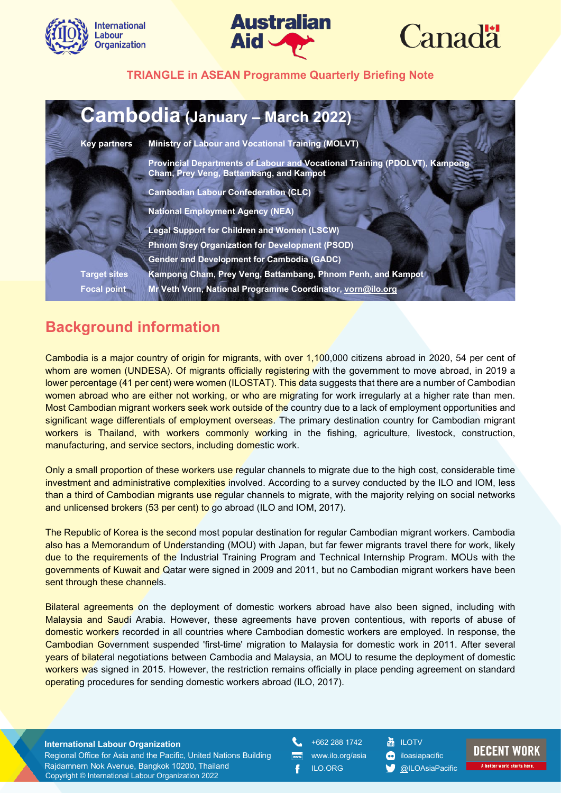





| <b>Cambodia (January - March 2022)</b> |                                                                                                                       |  |  |  |
|----------------------------------------|-----------------------------------------------------------------------------------------------------------------------|--|--|--|
| <b>Key partners</b>                    | <b>Ministry of Labour and Vocational Training (MOLVT)</b>                                                             |  |  |  |
|                                        | Provincial Departments of Labour and Vocational Training (PDOLVT), Kampong<br>Cham, Prey Veng, Battambang, and Kampot |  |  |  |
|                                        | <b>Cambodian Labour Confederation (CLC)</b>                                                                           |  |  |  |
|                                        | <b>National Employment Agency (NEA)</b>                                                                               |  |  |  |
|                                        | <b>Legal Support for Children and Women (LSCW)</b>                                                                    |  |  |  |
|                                        | Phnom Srey Organization for Development (PSOD)                                                                        |  |  |  |
|                                        | <b>Gender and Development for Cambodia (GADC)</b>                                                                     |  |  |  |
| <b>Target sites</b>                    | Kampong Cham, Prey Veng, Battambang, Phnom Penh, and Kampot                                                           |  |  |  |
| <b>Focal point</b>                     | Mr Veth Vorn, National Programme Coordinator, vorn@ilo.org                                                            |  |  |  |

# **Background information**

Cambodia is a major country of origin for migrants, with over 1,100,000 citizens abroad in 2020, 54 per cent of whom are women (UNDESA). Of migrants officially registering with the government to move abroad, in 2019 a lower percentage (41 per cent) were women (ILOSTAT). This data suggests that there are a number of Cambodian women abroad who are either not working, or who are migrating for work irregularly at a higher rate than men. Most Cambodian migrant workers seek work outside of the country due to a lack of employment opportunities and significant wage differentials of employment overseas. The primary destination country for Cambodian migrant workers is Thailand, with workers commonly working in the fishing, agriculture, livestock, construction, manufacturing, and service sectors, including domestic work.

Only a small proportion of these workers use regular channels to migrate due to the high cost, considerable time investment and administrative complexities involved. According to a survey conducted by the ILO and IOM, less than a third of Cambodian migrants use regular channels to migrate, with the majority relying on social networks and unlicensed brokers (53 per cent) to go abroad (ILO and IOM, 2017).

The Republic of Korea is the second most popular destination for regular Cambodian migrant workers. Cambodia also has a Memorandum of Understanding (MOU) with Japan, but far fewer migrants travel there for work, likely due to the requirements of the Industrial Training Program and Technical Internship Program. MOUs with the governments of Kuwait and Qatar were signed in 2009 and 2011, but no Cambodian migrant workers have been sent through these channels.

Bilateral agreements on the deployment of domestic workers abroad have also been signed, including with Malaysia and Saudi Arabia. However, these agreements have proven contentious, with reports of abuse of domestic workers recorded in all countries where Cambodian domestic workers are employed. In response, the Cambodian Government suspended 'first-time' migration to Malaysia for domestic work in 2011. After several years of bilateral negotiations between Cambodia and Malaysia, an MOU to resume the deployment of domestic workers was signed in 2015. However, the restriction remains officially in place pending agreement on standard operating procedures for sending domestic workers abroad (ILO, 2017).

#### **International Labour Organization**

Copyright © International Labour Organization 2022 Regional Office for Asia and the Pacific, United Nations Building Rajdamnern Nok Avenue, Bangkok 10200, Thailand

+662 288 1742 www.ilo.org/asia

ILO.ORG

**in** ILOTV **c**iloasiapacific

[@ILOAsiaPacific](about:blank)

# **DECENT WORK**

A better world starts her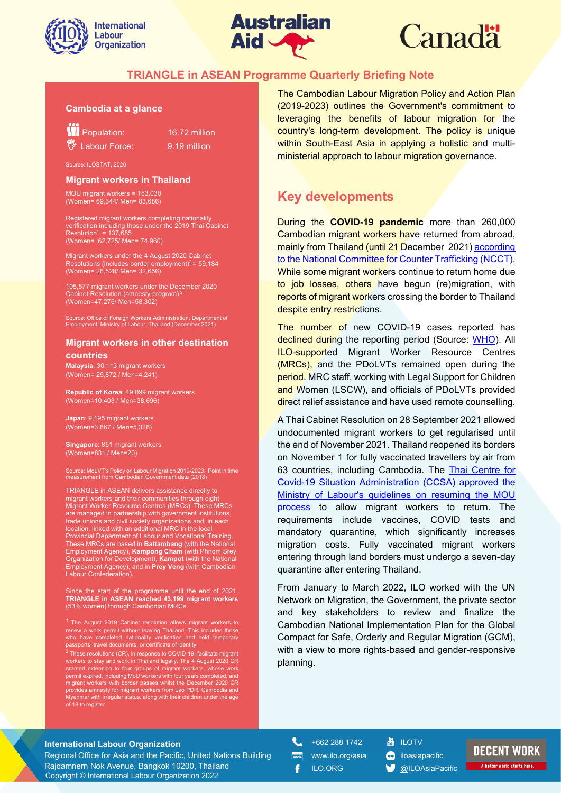



# **Canadä**

#### **TRIANGLE in ASEAN Programme Quarterly Briefing Note**

#### **Cambodia at a glance**

**Population:** 16.72 million

 $\frac{1}{2}$  Labour Force:  $\frac{9.19 \text{ million}}{2}$ 

Source: ILOSTAT, 2020

#### **Migrant workers in Thailand**

MOU migrant workers = 153,030 (Women= 69,344/ Men= 83,686)

Registered migrant workers completing nationality verification including those under the 2019 Thai Cabinet<br>Resolution<sup>1</sup> = 137,685 (Women= 62,725/ Men= 74,960)

Migrant workers under the 4 August 2020 Cabinet solutions (includes border employment)<sup>2</sup> = 59,184 (Women= 26,528/ Men= 32,656)

105,577 migrant workers under the December 2020<br>Cabinet Resolution (amnesty program)<sup>2</sup> (Women=47,275/ Men=58,302)

Source: Office of Foreign Workers Administration, Department of Employment, Ministry of Labour, Thailand (December 2021)

#### **Migrant workers in other destination countries**

**Malaysia**: 30,113 migrant workers (Women= 25,872 / Men=4,241)

**Republic of Korea**: 49,099 migrant workers (Women=10,403 / Men=38,696)

**Japan**: 9,195 migrant workers (Women=3,867 / Men=5,328)

**Singapore**: 851 migrant workers (Women=831 / Men=20)

Source: MoLVT's Policy on Labour Migration 2019-2023; Point in time measurement from Cambodian Government data (2018)

TRIANGLE in ASEAN delivers assistance directly to migrant workers and their communities through eight Migrant Worker Resource Centres (MRCs). These MRCs are managed in partnership with government institutions, trade unions and civil society organizations and, in each location, linked with an additional MRC in the local Provincial Department of Labour and Vocational Training. These MRCs are based in Battambang (with the National Employment Agency), **Kampong Cham** (with Phnom Srey Organization for Development), **Kampot** (with the National Employment Agency), and in **Prey Veng** (with Cambodian Labour Confederation).

Since the start of the programme until the end of 2021, **TRIANGLE in ASEAN reached 43,199 migrant workers** (53% women) through Cambodian MRCs.

<sup>1</sup> The August 2019 Cabinet resolution allows migrant workers to renew a work permit without leaving Thailand. This includes those who have completed nationality verification and held temporary passports, travel documents, or certificate of identity.

 $^2$  These resolutions (CR), in response to COVID-19, facilitate migrant workers to stay and work in Thailand legally. The 4 August 2020 CR granted extension to four groups of migrant workers, whose work permit expired, including MoU workers with four years completed, and<br>migrant workers with border passes whilst the December 2020 CR<br>provides amnesty for migrant workers from Lao PDR, Cambodia and<br>Myanmar with irregular sta of 18 to register.

The Cambodian Labour Migration Policy and Action Plan (2019-2023) outlines the Government's commitment to leveraging the benefits of labour migration for the country's long-term development. The policy is unique within South-East Asia in applying a holistic and multiministerial approach to labour migration governance.

# **Key developments**

During the **COVID-19 pandemic** more than 260,000 Cambodian migrant workers have returned from abroad, mainly from Thailand (until 21 December 2021[\) according](about:blank)  [to the National Committee for Counter Trafficking \(NCCT\).](about:blank) While some migrant workers continue to return home due to job losses, others have begun (re)migration, with reports of migrant workers crossing the border to Thailand despite entry restrictions.

The number of new COVID-19 cases reported has declined during the reporting period (Source: [WHO\)](about:blank). All ILO-supported Migrant Worker Resource Centres (MRCs), and the PDoLVTs remained open during the period. MRC staff, working with Legal Support for Children and Women (LSCW), and officials of PDoLVTs provided direct relief assistance and have used remote counselling.

A Thai Cabinet Resolution on 28 September 2021 allowed undocumented migrant workers to get regularised until the end of November 2021. Thailand reopened its borders on November 1 for fully vaccinated travellers by air from 63 countries, including Cambodia. The [Thai Centre for](about:blank)  [Covid-19 Situation Administration \(CCSA\) approved the](about:blank)  [Ministry of Labour's guidelines on resuming the MOU](about:blank)  [process](about:blank) to allow migrant workers to return. The requirements include vaccines, COVID tests and mandatory quarantine, which significantly increases migration costs. Fully vaccinated migrant workers entering through land borders must undergo a seven-day quarantine after entering Thailand.

From January to March 2022, ILO worked with the UN Network on Migration, the Government, the private sector and key stakeholders to review and finalize the Cambodian National Implementation Plan for the Global Compact for Safe, Orderly and Regular Migration (GCM), with a view to more rights-based and gender-responsive planning.

#### **International Labour Organization**

Copyright © International Labour Organization 2022 Regional Office for Asia and the Pacific, United Nations Building Rajdamnern Nok Avenue, Bangkok 10200, Thailand

ŧ. +662 288 1742

 $m$ 

ILO.ORG

- www.ilo.org/asia **ILOTV c**iloasiapacific
	- [@ILOAsiaPacific](about:blank)

# **DECENT WORK**

A better world starts here.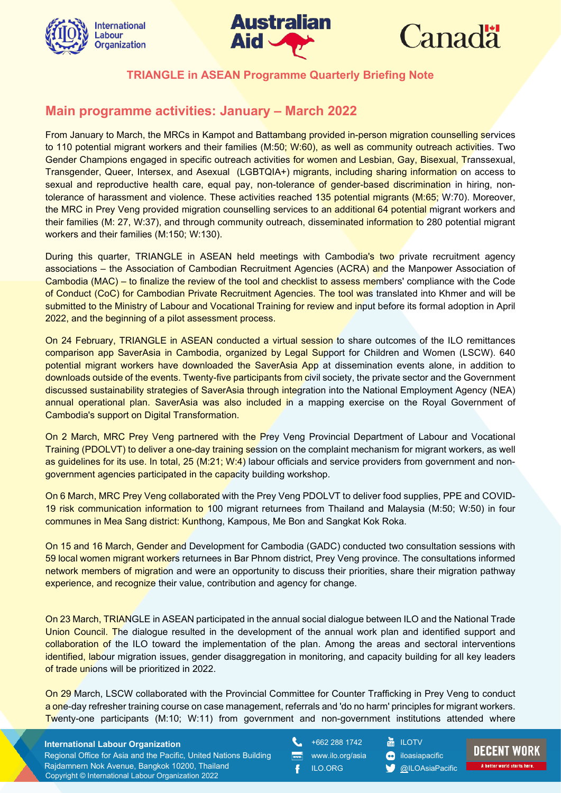





# **Main programme activities: January – March 2022**

From January to March, the MRCs in Kampot and Battambang provided in-person migration counselling services to 110 potential migrant workers and their families (M:50; W:60), as well as community outreach activities. Two Gender Champions engaged in specific outreach activities for women and Lesbian, Gay, Bisexual, Transsexual, Transgender, Queer, Intersex, and Asexual (LGBTQIA+) migrants, including sharing information on access to sexual and reproductive health care, equal pay, non-tolerance of gender-based discrimination in hiring, nontolerance of harassment and violence. These activities reached 135 potential migrants (M:65; W:70). Moreover, the MRC in Prey Veng provided migration counselling services to an additional 64 potential migrant workers and their families (M: 27, W:37), and through community outreach, disseminated information to 280 potential migrant workers and their families (M:150; W:130).

During this quarter, TRIANGLE in ASEAN held meetings with Cambodia's two private recruitment agency associations – the Association of Cambodian Recruitment Agencies (ACRA) and the Manpower Association of Cambodia (MAC) – to finalize the review of the tool and checklist to assess members' compliance with the Code of Conduct (CoC) for Cambodian Private Recruitment Agencies. The tool was translated into Khmer and will be submitted to the Ministry of Labour and Vocational Training for review and input before its formal adoption in April 2022, and the beginning of a pilot assessment process.

On 24 February, TRIANGLE in ASEAN conducted a virtual session to share outcomes of the ILO remittances comparison app SaverAsia in Cambodia, organized by Legal Support for Children and Women (LSCW). 640 potential migrant workers have downloaded the SaverAsia App at dissemination events alone, in addition to downloads outside of the events. Twenty-five participants from civil society, the private sector and the Government discussed sustainability strategies of SaverAsia through integration into the National Employment Agency (NEA) annual operational plan. SaverAsia was also included in a mapping exercise on the Royal Government of Cambodia's support on Digital Transformation.

On 2 March, MRC Prey Veng partnered with the Prey Veng Provincial Department of Labour and Vocational Training (PDOLVT) to deliver a one-day training session on the complaint mechanism for migrant workers, as well as quidelines for its use. In total, 25 (M:21; W:4) labour officials and service providers from government and nongovernment agencies participated in the capacity building workshop.

On 6 March, MRC Prey Veng collaborated with the Prey Veng PDOLVT to deliver food supplies, PPE and COVID-19 risk communication information to 100 migrant returnees from Thailand and Malaysia (M:50; W:50) in four communes in Mea Sang district: Kunthong, Kampous, Me Bon and Sangkat Kok Roka.

On 15 and 16 March, Gender and Development for Cambodia (GADC) conducted two consultation sessions with 59 local women migrant workers returnees in Bar Phnom district, Prey Veng province. The consultations informed network members of migration and were an opportunity to discuss their priorities, share their migration pathway experience, and recognize their value, contribution and agency for change.

On 23 March, TRIANGLE in ASEAN participated in the annual social dialogue between ILO and the National Trade Union Council. The dialogue resulted in the development of the annual work plan and identified support and collaboration of the ILO toward the implementation of the plan. Among the areas and sectoral interventions identified, labour migration issues, gender disaggregation in monitoring, and capacity building for all key leaders of trade unions will be prioritized in 2022.

On 29 March, LSCW collaborated with the Provincial Committee for Counter Trafficking in Prey Veng to conduct a one-day refresher training course on case management, referrals and 'do no harm' principles for migrant workers. Twenty-one participants (M:10; W:11) from government and non-government institutions attended where

#### **International Labour Organization**

Copyright © International Labour Organization 2022 Regional Office for Asia and the Pacific, United Nations Building Rajdamnern Nok Avenue, Bangkok 10200, Thailand

+662 288 1742 www.ilo.org/asia ILO.ORG

**ILOTV c**iloasiapacific [@ILOAsiaPacific](about:blank)

**DECENT WORK** A better world starts here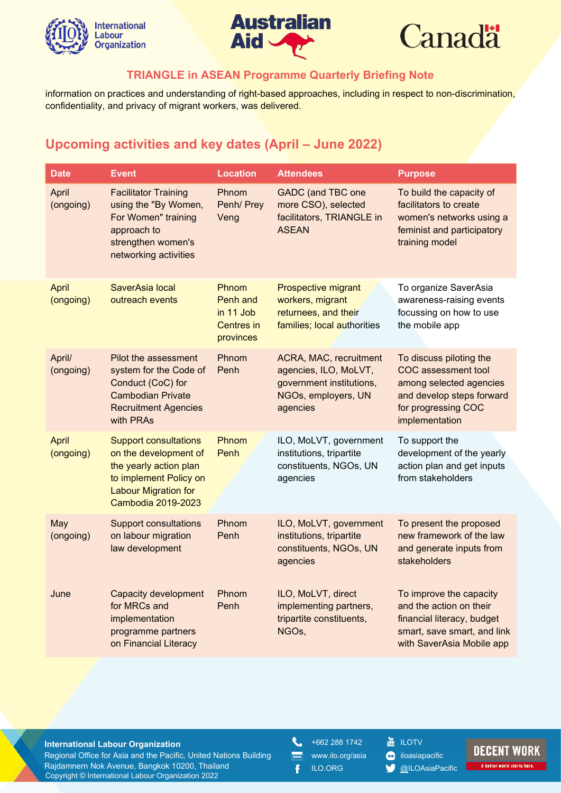





information on practices and understanding of right-based approaches, including in respect to non-discrimination, confidentiality, and privacy of migrant workers, was delivered.

# **Upcoming activities and key dates (April – June 2022)**

| <b>Date</b>               | <b>Event</b>                                                                                                                                                   | <b>Location</b>                                                  | <b>Attendees</b>                                                                                               | <b>Purpose</b>                                                                                                                                         |
|---------------------------|----------------------------------------------------------------------------------------------------------------------------------------------------------------|------------------------------------------------------------------|----------------------------------------------------------------------------------------------------------------|--------------------------------------------------------------------------------------------------------------------------------------------------------|
| April<br>(ongoing)        | <b>Facilitator Training</b><br>using the "By Women,<br>For Women" training<br>approach to<br>strengthen women's<br>networking activities                       | Phnom<br>Penh/ Prey<br>Veng                                      | <b>GADC</b> (and TBC one<br>more CSO), selected<br>facilitators, TRIANGLE in<br><b>ASEAN</b>                   | To build the capacity of<br>facilitators to create<br>women's networks using a<br>feminist and participatory<br>training model                         |
| April<br>(ongoing)        | SaverAsia local<br>outreach events                                                                                                                             | Phnom<br>Penh and<br>in 11 Job<br><b>Centres</b> in<br>provinces | Prospective migrant<br>workers, migrant<br>returnees, and their<br>families; local authorities                 | To organize SaverAsia<br>awareness-raising events<br>focussing on how to use<br>the mobile app                                                         |
| April/<br>(ongoing)       | Pilot the assessment<br>system for the Code of<br>Conduct (CoC) for<br><b>Cambodian Private</b><br><b>Recruitment Agencies</b><br>with PRAs                    | Phnom<br>Penh                                                    | ACRA, MAC, recruitment<br>agencies, ILO, MoLVT,<br>government institutions,<br>NGOs, employers, UN<br>agencies | To discuss piloting the<br><b>COC</b> assessment tool<br>among selected agencies<br>and develop steps forward<br>for progressing COC<br>implementation |
| <b>April</b><br>(ongoing) | <b>Support consultations</b><br>on the development of<br>the yearly action plan<br>to implement Policy on<br><b>Labour Migration for</b><br>Cambodia 2019-2023 | Phnom<br>Penh                                                    | ILO, MoLVT, government<br>institutions, tripartite<br>constituents, NGOs, UN<br>agencies                       | To support the<br>development of the yearly<br>action plan and get inputs<br>from stakeholders                                                         |
| May<br>(ongoing)          | <b>Support consultations</b><br>on labour migration<br>law development                                                                                         | Phnom<br>Penh                                                    | ILO, MoLVT, government<br>institutions, tripartite<br>constituents, NGOs, UN<br>agencies                       | To present the proposed<br>new framework of the law<br>and generate inputs from<br>stakeholders                                                        |
| June                      | <b>Capacity development</b><br>for MRCs and<br>implementation<br>programme partners<br>on Financial Literacy                                                   | Phnom<br>Penh                                                    | ILO, MoLVT, direct<br>implementing partners,<br>tripartite constituents,<br>NGOs.                              | To improve the capacity<br>and the action on their<br>financial literacy, budget<br>smart, save smart, and link<br>with SaverAsia Mobile app           |

#### **International Labour Organization**

Copyright © International Labour Organization 2022 Regional Office for Asia and the Pacific, United Nations Building Rajdamnern Nok Avenue, Bangkok 10200, Thailand

L +662 288 1742

 $m$ 

Ŧ

www.ilo.org/asia ILO.ORG

- **E** ILOTV
- **co** iloasiapacific
- **W** [@ILOAsiaPacific](about:blank)

# **DECENT WORK**

A better world starts here.